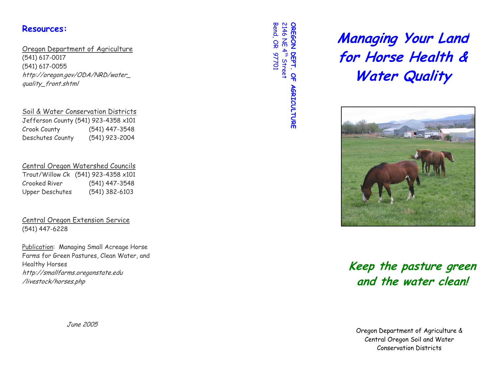### **Resources:**

### Oregon Department of Agriculture

(541) 617-0017 (541) 617-0055 http://oregon.gov/ODA/NRD/water\_ quality\_front.shtml

#### Soil & Water Conservation Districts

Jefferson County (541) 923-4358 x101 Crook County (541) 447-3548 Deschutes County (541) 923-2004

### Central Oregon Watershed Councils

|                        | Trout/Willow Ck (541) 923-4358 x101 |
|------------------------|-------------------------------------|
| Crooked River          | (541) 447-3548                      |
| <b>Upper Deschutes</b> | $(541)$ 382-6103                    |

Central Oregon Extension Service (541) 447-6228

Publication: Managing Small Acreage Horse Farms for Green Pastures, Clean Water, and Healthy Horses http://smallfarms.oregonstate.edu /livestock/horses.php

June 2005

**Bend, OR 97701** Bend, OR 97701 2146 NE 4 OREGON DEPT. OF AGRICULTURE **OREGON DEPT. OF AGRICULTURE**  th Street

**Managing Your Land for Horse Health & Water Quality** 



# o **Keep the pasture green**  f **and the water clean!**

Oregon Department of Agriculture & Central Oregon Soil and Water Conservation Districts